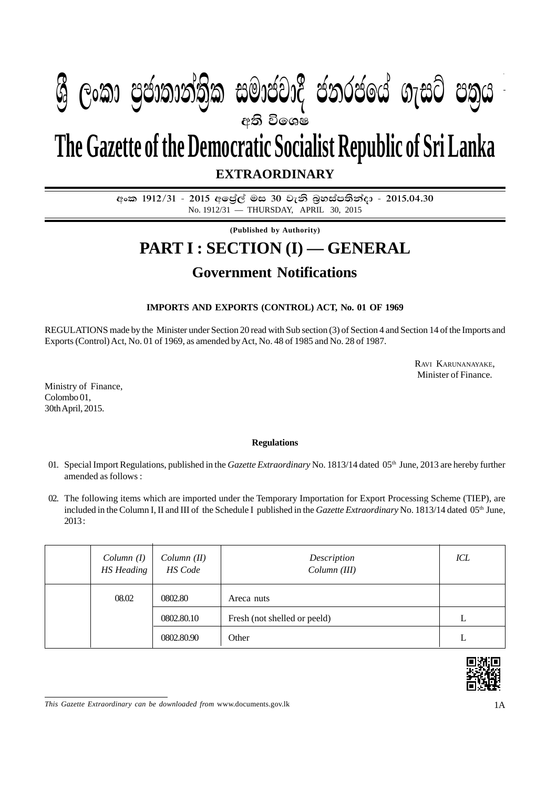## $\mathbf{A} \qquad \mathbf{A} \qquad \mathbf{A} \qquad \mathbf{A} \qquad \mathbf{A} \qquad \mathbf{A} \qquad \mathbf{A} \qquad \mathbf{A} \qquad \mathbf{A} \qquad \mathbf{A} \qquad \mathbf{A} \qquad \mathbf{A} \qquad \mathbf{A} \qquad \mathbf{A} \qquad \mathbf{A} \qquad \mathbf{A} \qquad \mathbf{A} \qquad \mathbf{A} \qquad \mathbf{A} \qquad \mathbf{A} \qquad \mathbf{A} \qquad \mathbf{A} \qquad \mathbf{A} \qquad \mathbf{A} \qquad \mathbf{$  $\mathcal{P}_{\mathcal{P}_{\mathcal{P}_{\mathcal{P}_{\mathcal{P}}}}^{*}}$  , second-capacity  $\mathcal{P}_{\mathcal{P}_{\mathcal{P}_{\mathcal{P}_{\mathcal{P}}}}^{*}}$  , so  $\mathcal{P}_{\mathcal{P}_{\mathcal{P}_{\mathcal{P}_{\mathcal{P}}}}^{*}}$  , so  $\mathcal{P}_{\mathcal{P}_{\mathcal{P}_{\mathcal{P}_{\mathcal{P}}}}^{*}}$  , so  $\mathcal{P}_{\mathcal{P}_{\mathcal{P}_{\mathcal{P}_{\mathcal{P}}}}^{*}}$  , s **අති විශෙෂ W Geibrea, mocdic charge in cold in the co**

**The Gazette of the Democratic Socialist Republic of Sri Lanka**

**EXTRAORDINARY**

අංක 1912/31 - 2015 අලේල් මස 30 වැනි බුහස්පතින්දා - 2015.04.30 No. 1912/31 — THURSDAY, APRIL 30, 2015

**(Published by Authority)**

# **PART I : SECTION (I) — GENERAL**

### **Government Notifications**

#### **IMPORTS AND EXPORTS (CONTROL) ACT, No. 01 OF 1969**

REGULATIONS made by the Minister under Section 20 read with Sub section (3) of Section 4 and Section 14 of the Imports and Exports (Control) Act, No. 01 of 1969, as amended by Act, No. 48 of 1985 and No. 28 of 1987.

> RAVI KARUNANAYAKE, Minister of Finance.

Ministry of Finance, Colombo 01, 30th April, 2015.

#### **Regulations**

- 01. Special Import Regulations, published in the *Gazette Extraordinary* No. 1813/14 dated 05th June, 2013 are hereby further amended as follows :
- 02. The following items which are imported under the Temporary Importation for Export Processing Scheme (TIEP), are included in the Column I, II and III of the Schedule I published in the *Gazette Extraordinary* No. 1813/14 dated 05<sup>th</sup> June, 2013 :

| Column(I)<br><b>HS</b> Heading | Column (II)<br>HS Code | Description<br>Column (III)  | ICL |
|--------------------------------|------------------------|------------------------------|-----|
| 08.02                          | 0802.80                | Areca nuts                   |     |
|                                | 0802.80.10             | Fresh (not shelled or peeld) | L   |
|                                | 0802.80.90             | Other                        | L   |



*This Gazette Extraordinary can be downloaded from* www.documents.gov.lk